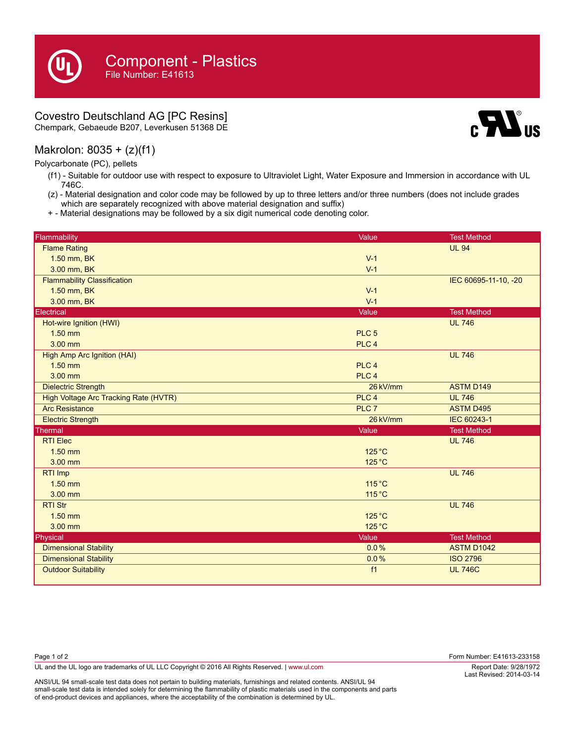## Covestro Deutschland AG [PC Resins]

Chempark, Gebaeude B207, Leverkusen 51368 DE

## Makrolon: 8035 + (z)(f1)

Polycarbonate (PC), pellets

- (f1) Suitable for outdoor use with respect to exposure to Ultraviolet Light, Water Exposure and Immersion in accordance with UL 746C.
- (z) Material designation and color code may be followed by up to three letters and/or three numbers (does not include grades which are separately recognized with above material designation and suffix)
- + Material designations may be followed by a six digit numerical code denoting color.

| Flammability                          | Value            | <b>Test Method</b>   |
|---------------------------------------|------------------|----------------------|
| <b>Flame Rating</b>                   |                  | <b>UL 94</b>         |
| 1.50 mm, BK                           | $V-1$            |                      |
| 3.00 mm, BK                           | $V-1$            |                      |
| <b>Flammability Classification</b>    |                  | IEC 60695-11-10, -20 |
| 1.50 mm, BK                           | $V-1$            |                      |
| 3.00 mm, BK                           | $V-1$            |                      |
| Electrical                            | Value            | <b>Test Method</b>   |
| Hot-wire Ignition (HWI)               |                  | <b>UL 746</b>        |
| $1.50$ mm                             | PLC <sub>5</sub> |                      |
| 3.00 mm                               | PLC <sub>4</sub> |                      |
| High Amp Arc Ignition (HAI)           |                  | <b>UL 746</b>        |
| $1.50$ mm                             | PLC <sub>4</sub> |                      |
| 3.00 mm                               | PLC <sub>4</sub> |                      |
| <b>Dielectric Strength</b>            | 26 kV/mm         | <b>ASTM D149</b>     |
| High Voltage Arc Tracking Rate (HVTR) | PLC <sub>4</sub> | <b>UL 746</b>        |
| <b>Arc Resistance</b>                 | PLC <sub>7</sub> | <b>ASTM D495</b>     |
| <b>Electric Strength</b>              | 26 kV/mm         | <b>IEC 60243-1</b>   |
| Thermal                               | Value            | <b>Test Method</b>   |
| <b>RTI Elec</b>                       |                  | <b>UL 746</b>        |
| $1.50$ mm                             | $125^{\circ}$ C  |                      |
| $3.00$ mm                             | 125 °C           |                      |
| RTI Imp                               |                  | <b>UL 746</b>        |
| $1.50$ mm                             | 115 °C           |                      |
| 3.00 mm                               | 115 °C           |                      |
| <b>RTI Str</b>                        |                  | <b>UL 746</b>        |
| $1.50$ mm                             | $125^{\circ}$ C  |                      |
| 3.00 mm                               | $125^{\circ}$ C  |                      |
| Physical                              | Value            | <b>Test Method</b>   |
| <b>Dimensional Stability</b>          | 0.0%             | <b>ASTM D1042</b>    |
| <b>Dimensional Stability</b>          | 0.0%             | <b>ISO 2796</b>      |
| <b>Outdoor Suitability</b>            | f1               | <b>UL 746C</b>       |

| Page 1 of 2                                                                                    | Form Number: E41613-233158                          |
|------------------------------------------------------------------------------------------------|-----------------------------------------------------|
| UL and the UL logo are trademarks of UL LLC Copyright © 2016 All Rights Reserved.   www.ul.com | Report Date: 9/28/1972<br>1 set Revised: 2014_03_14 |

ANSI/UL 94 small-scale test data does not pertain to building materials, furnishings and related contents. ANSI/UL 94 small-scale test data is intended solely for determining the flammability of plastic materials used in the components and parts of end-product devices and appliances, where the acceptability of the combination is determined by UL.